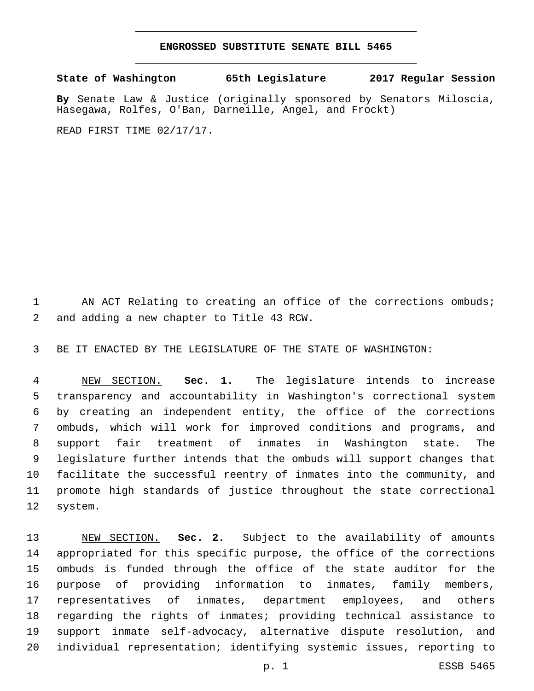## **ENGROSSED SUBSTITUTE SENATE BILL 5465**

**State of Washington 65th Legislature 2017 Regular Session**

**By** Senate Law & Justice (originally sponsored by Senators Miloscia, Hasegawa, Rolfes, O'Ban, Darneille, Angel, and Frockt)

READ FIRST TIME 02/17/17.

1 AN ACT Relating to creating an office of the corrections ombuds; 2 and adding a new chapter to Title 43 RCW.

BE IT ENACTED BY THE LEGISLATURE OF THE STATE OF WASHINGTON:

 NEW SECTION. **Sec. 1.** The legislature intends to increase transparency and accountability in Washington's correctional system by creating an independent entity, the office of the corrections ombuds, which will work for improved conditions and programs, and support fair treatment of inmates in Washington state. The legislature further intends that the ombuds will support changes that facilitate the successful reentry of inmates into the community, and promote high standards of justice throughout the state correctional system.

 NEW SECTION. **Sec. 2.** Subject to the availability of amounts appropriated for this specific purpose, the office of the corrections ombuds is funded through the office of the state auditor for the purpose of providing information to inmates, family members, representatives of inmates, department employees, and others regarding the rights of inmates; providing technical assistance to support inmate self-advocacy, alternative dispute resolution, and individual representation; identifying systemic issues, reporting to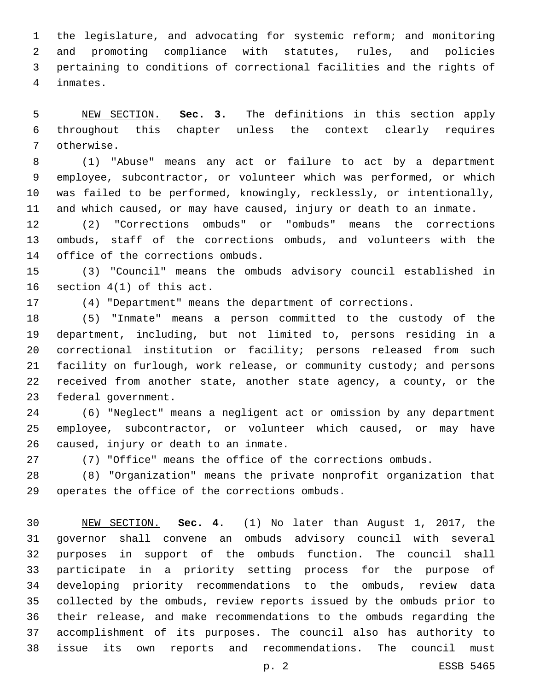the legislature, and advocating for systemic reform; and monitoring and promoting compliance with statutes, rules, and policies pertaining to conditions of correctional facilities and the rights of inmates.4

 NEW SECTION. **Sec. 3.** The definitions in this section apply throughout this chapter unless the context clearly requires otherwise.

 (1) "Abuse" means any act or failure to act by a department employee, subcontractor, or volunteer which was performed, or which was failed to be performed, knowingly, recklessly, or intentionally, and which caused, or may have caused, injury or death to an inmate.

 (2) "Corrections ombuds" or "ombuds" means the corrections ombuds, staff of the corrections ombuds, and volunteers with the 14 office of the corrections ombuds.

 (3) "Council" means the ombuds advisory council established in 16 section  $4(1)$  of this act.

(4) "Department" means the department of corrections.

 (5) "Inmate" means a person committed to the custody of the department, including, but not limited to, persons residing in a correctional institution or facility; persons released from such facility on furlough, work release, or community custody; and persons received from another state, another state agency, a county, or the 23 federal government.

 (6) "Neglect" means a negligent act or omission by any department employee, subcontractor, or volunteer which caused, or may have 26 caused, injury or death to an inmate.

(7) "Office" means the office of the corrections ombuds.

 (8) "Organization" means the private nonprofit organization that 29 operates the office of the corrections ombuds.

 NEW SECTION. **Sec. 4.** (1) No later than August 1, 2017, the governor shall convene an ombuds advisory council with several purposes in support of the ombuds function. The council shall participate in a priority setting process for the purpose of developing priority recommendations to the ombuds, review data collected by the ombuds, review reports issued by the ombuds prior to their release, and make recommendations to the ombuds regarding the accomplishment of its purposes. The council also has authority to issue its own reports and recommendations. The council must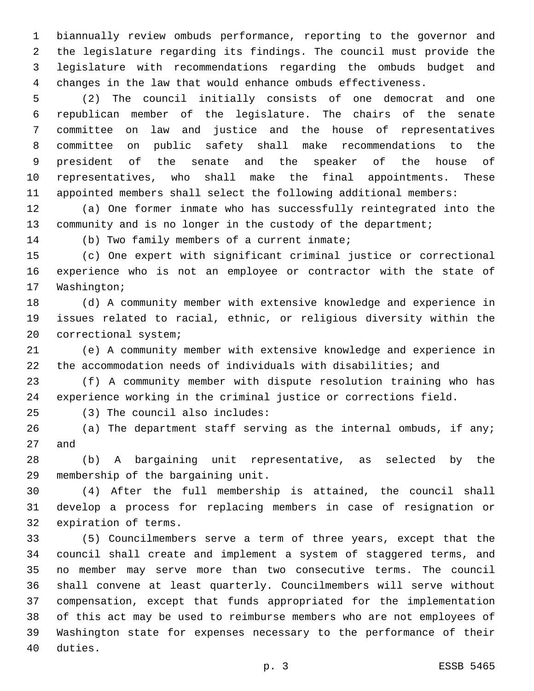biannually review ombuds performance, reporting to the governor and the legislature regarding its findings. The council must provide the legislature with recommendations regarding the ombuds budget and changes in the law that would enhance ombuds effectiveness.

 (2) The council initially consists of one democrat and one republican member of the legislature. The chairs of the senate committee on law and justice and the house of representatives committee on public safety shall make recommendations to the president of the senate and the speaker of the house of representatives, who shall make the final appointments. These appointed members shall select the following additional members:

 (a) One former inmate who has successfully reintegrated into the 13 community and is no longer in the custody of the department;

14 (b) Two family members of a current inmate;

 (c) One expert with significant criminal justice or correctional experience who is not an employee or contractor with the state of 17 Washington;

 (d) A community member with extensive knowledge and experience in issues related to racial, ethnic, or religious diversity within the 20 correctional system;

 (e) A community member with extensive knowledge and experience in the accommodation needs of individuals with disabilities; and

 (f) A community member with dispute resolution training who has experience working in the criminal justice or corrections field.

(3) The council also includes:25

 (a) The department staff serving as the internal ombuds, if any; 27 and

 (b) A bargaining unit representative, as selected by the 29 membership of the bargaining unit.

 (4) After the full membership is attained, the council shall develop a process for replacing members in case of resignation or 32 expiration of terms.

 (5) Councilmembers serve a term of three years, except that the council shall create and implement a system of staggered terms, and no member may serve more than two consecutive terms. The council shall convene at least quarterly. Councilmembers will serve without compensation, except that funds appropriated for the implementation of this act may be used to reimburse members who are not employees of Washington state for expenses necessary to the performance of their 40 duties.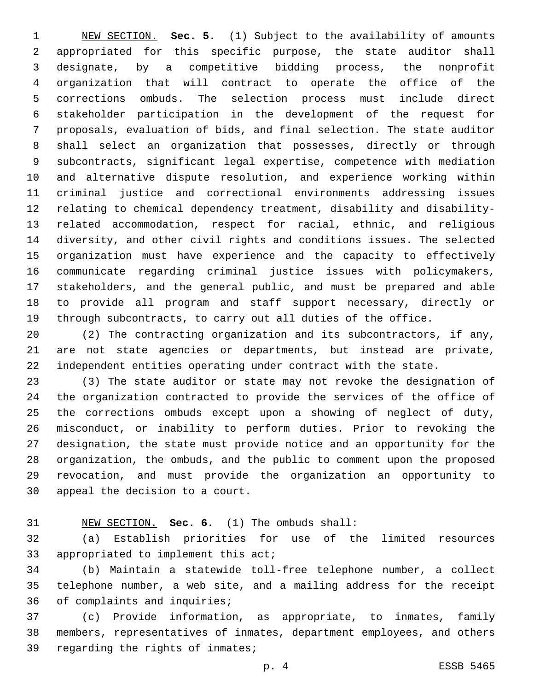NEW SECTION. **Sec. 5.** (1) Subject to the availability of amounts appropriated for this specific purpose, the state auditor shall designate, by a competitive bidding process, the nonprofit organization that will contract to operate the office of the corrections ombuds. The selection process must include direct stakeholder participation in the development of the request for proposals, evaluation of bids, and final selection. The state auditor shall select an organization that possesses, directly or through subcontracts, significant legal expertise, competence with mediation and alternative dispute resolution, and experience working within criminal justice and correctional environments addressing issues relating to chemical dependency treatment, disability and disability- related accommodation, respect for racial, ethnic, and religious diversity, and other civil rights and conditions issues. The selected organization must have experience and the capacity to effectively communicate regarding criminal justice issues with policymakers, stakeholders, and the general public, and must be prepared and able to provide all program and staff support necessary, directly or through subcontracts, to carry out all duties of the office.

 (2) The contracting organization and its subcontractors, if any, are not state agencies or departments, but instead are private, independent entities operating under contract with the state.

 (3) The state auditor or state may not revoke the designation of the organization contracted to provide the services of the office of the corrections ombuds except upon a showing of neglect of duty, misconduct, or inability to perform duties. Prior to revoking the designation, the state must provide notice and an opportunity for the organization, the ombuds, and the public to comment upon the proposed revocation, and must provide the organization an opportunity to 30 appeal the decision to a court.

## NEW SECTION. **Sec. 6.** (1) The ombuds shall:

 (a) Establish priorities for use of the limited resources 33 appropriated to implement this act;

 (b) Maintain a statewide toll-free telephone number, a collect telephone number, a web site, and a mailing address for the receipt 36 of complaints and inquiries;

 (c) Provide information, as appropriate, to inmates, family members, representatives of inmates, department employees, and others 39 regarding the rights of inmates;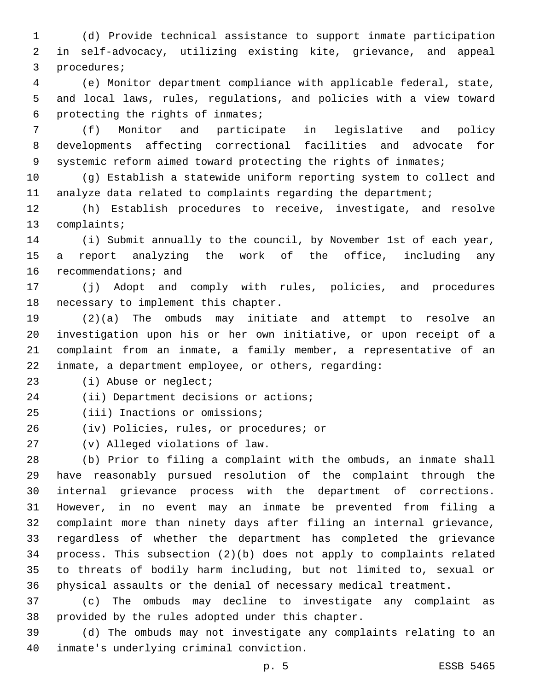(d) Provide technical assistance to support inmate participation in self-advocacy, utilizing existing kite, grievance, and appeal 3 procedures;

 (e) Monitor department compliance with applicable federal, state, and local laws, rules, regulations, and policies with a view toward 6 protecting the rights of inmates;

 (f) Monitor and participate in legislative and policy developments affecting correctional facilities and advocate for systemic reform aimed toward protecting the rights of inmates;

 (g) Establish a statewide uniform reporting system to collect and analyze data related to complaints regarding the department;

 (h) Establish procedures to receive, investigate, and resolve 13 complaints;

 (i) Submit annually to the council, by November 1st of each year, a report analyzing the work of the office, including any 16 recommendations; and

 (j) Adopt and comply with rules, policies, and procedures 18 necessary to implement this chapter.

 (2)(a) The ombuds may initiate and attempt to resolve an investigation upon his or her own initiative, or upon receipt of a complaint from an inmate, a family member, a representative of an inmate, a department employee, or others, regarding:

23 (i) Abuse or neglect;

24 (ii) Department decisions or actions;

25 (iii) Inactions or omissions;

26 (iv) Policies, rules, or procedures; or

(v) Alleged violations of law.27

 (b) Prior to filing a complaint with the ombuds, an inmate shall have reasonably pursued resolution of the complaint through the internal grievance process with the department of corrections. However, in no event may an inmate be prevented from filing a complaint more than ninety days after filing an internal grievance, regardless of whether the department has completed the grievance process. This subsection (2)(b) does not apply to complaints related to threats of bodily harm including, but not limited to, sexual or physical assaults or the denial of necessary medical treatment.

 (c) The ombuds may decline to investigate any complaint as 38 provided by the rules adopted under this chapter.

 (d) The ombuds may not investigate any complaints relating to an 40 inmate's underlying criminal conviction.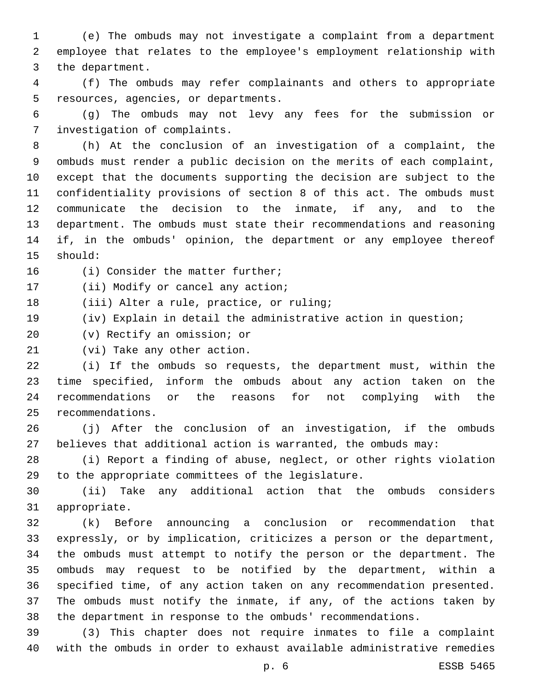(e) The ombuds may not investigate a complaint from a department employee that relates to the employee's employment relationship with 3 the department.

 (f) The ombuds may refer complainants and others to appropriate 5 resources, agencies, or departments.

 (g) The ombuds may not levy any fees for the submission or 7 investigation of complaints.

 (h) At the conclusion of an investigation of a complaint, the ombuds must render a public decision on the merits of each complaint, except that the documents supporting the decision are subject to the confidentiality provisions of section 8 of this act. The ombuds must communicate the decision to the inmate, if any, and to the department. The ombuds must state their recommendations and reasoning if, in the ombuds' opinion, the department or any employee thereof 15 should:

16 (i) Consider the matter further;

17 (ii) Modify or cancel any action;

18 (iii) Alter a rule, practice, or ruling;

(iv) Explain in detail the administrative action in question;

20 (v) Rectify an omission; or

21 (vi) Take any other action.

 (i) If the ombuds so requests, the department must, within the time specified, inform the ombuds about any action taken on the recommendations or the reasons for not complying with the 25 recommendations.

 (j) After the conclusion of an investigation, if the ombuds believes that additional action is warranted, the ombuds may:

 (i) Report a finding of abuse, neglect, or other rights violation 29 to the appropriate committees of the legislature.

 (ii) Take any additional action that the ombuds considers 31 appropriate.

 (k) Before announcing a conclusion or recommendation that expressly, or by implication, criticizes a person or the department, the ombuds must attempt to notify the person or the department. The ombuds may request to be notified by the department, within a specified time, of any action taken on any recommendation presented. The ombuds must notify the inmate, if any, of the actions taken by the department in response to the ombuds' recommendations.

 (3) This chapter does not require inmates to file a complaint with the ombuds in order to exhaust available administrative remedies

p. 6 ESSB 5465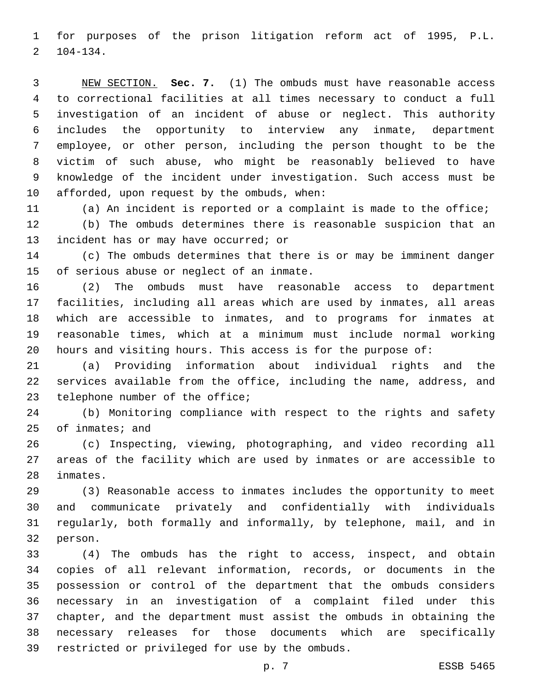for purposes of the prison litigation reform act of 1995, P.L.  $2 \quad 104-134.$ 

 NEW SECTION. **Sec. 7.** (1) The ombuds must have reasonable access to correctional facilities at all times necessary to conduct a full investigation of an incident of abuse or neglect. This authority includes the opportunity to interview any inmate, department employee, or other person, including the person thought to be the victim of such abuse, who might be reasonably believed to have knowledge of the incident under investigation. Such access must be afforded, upon request by the ombuds, when:

 (a) An incident is reported or a complaint is made to the office; (b) The ombuds determines there is reasonable suspicion that an 13 incident has or may have occurred; or

 (c) The ombuds determines that there is or may be imminent danger 15 of serious abuse or neglect of an inmate.

 (2) The ombuds must have reasonable access to department facilities, including all areas which are used by inmates, all areas which are accessible to inmates, and to programs for inmates at reasonable times, which at a minimum must include normal working hours and visiting hours. This access is for the purpose of:

 (a) Providing information about individual rights and the services available from the office, including the name, address, and 23 telephone number of the office;

 (b) Monitoring compliance with respect to the rights and safety of inmates; and

 (c) Inspecting, viewing, photographing, and video recording all areas of the facility which are used by inmates or are accessible to 28 inmates.

 (3) Reasonable access to inmates includes the opportunity to meet and communicate privately and confidentially with individuals regularly, both formally and informally, by telephone, mail, and in 32 person.

 (4) The ombuds has the right to access, inspect, and obtain copies of all relevant information, records, or documents in the possession or control of the department that the ombuds considers necessary in an investigation of a complaint filed under this chapter, and the department must assist the ombuds in obtaining the necessary releases for those documents which are specifically 39 restricted or privileged for use by the ombuds.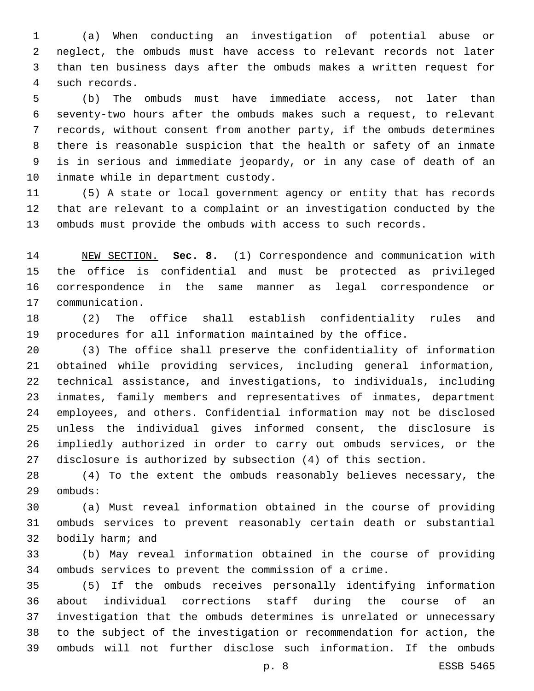(a) When conducting an investigation of potential abuse or neglect, the ombuds must have access to relevant records not later than ten business days after the ombuds makes a written request for such records.4

 (b) The ombuds must have immediate access, not later than seventy-two hours after the ombuds makes such a request, to relevant records, without consent from another party, if the ombuds determines there is reasonable suspicion that the health or safety of an inmate is in serious and immediate jeopardy, or in any case of death of an 10 inmate while in department custody.

 (5) A state or local government agency or entity that has records that are relevant to a complaint or an investigation conducted by the ombuds must provide the ombuds with access to such records.

 NEW SECTION. **Sec. 8.** (1) Correspondence and communication with the office is confidential and must be protected as privileged correspondence in the same manner as legal correspondence or communication.

 (2) The office shall establish confidentiality rules and procedures for all information maintained by the office.

 (3) The office shall preserve the confidentiality of information obtained while providing services, including general information, technical assistance, and investigations, to individuals, including inmates, family members and representatives of inmates, department employees, and others. Confidential information may not be disclosed unless the individual gives informed consent, the disclosure is impliedly authorized in order to carry out ombuds services, or the disclosure is authorized by subsection (4) of this section.

 (4) To the extent the ombuds reasonably believes necessary, the 29 ombuds:

 (a) Must reveal information obtained in the course of providing ombuds services to prevent reasonably certain death or substantial 32 bodily harm; and

 (b) May reveal information obtained in the course of providing ombuds services to prevent the commission of a crime.

 (5) If the ombuds receives personally identifying information about individual corrections staff during the course of an investigation that the ombuds determines is unrelated or unnecessary to the subject of the investigation or recommendation for action, the ombuds will not further disclose such information. If the ombuds